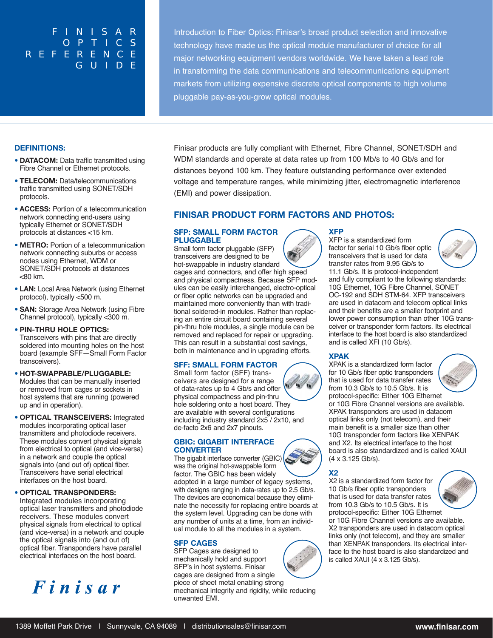## FINISAR OPTICS **REFERENCE** GUIDE

Introduction to Fiber Optics: Finisar's broad product selection and innovative technology have made us the optical module manufacturer of choice for all major networking equipment vendors worldwide. We have taken a lead role in transforming the data communications and telecommunications equipment markets from utilizing expensive discrete optical components to high volume pluggable pay-as-you-grow optical modules.

#### **DEFINITIONS:**

- **• DATACOM:** Data traffic transmitted using Fibre Channel or Ethernet protocols.
- **• TELECOM:** Data/telecommunications traffic transmitted using SONET/SDH protocols.
- **• ACCESS:** Portion of a telecommunication network connecting end-users using typically Ethernet or SONET/SDH protocols at distances <15 km.
- **• METRO:** Portion of a telecommunication network connecting suburbs or access nodes using Ethernet, WDM or SONET/SDH protocols at distances <80 km.
- **• LAN:** Local Area Network (using Ethernet protocol), typically <500 m.
- **• SAN:** Storage Area Network (using Fibre Channel protocol), typically <300 m.

#### **• PIN-THRU HOLE OPTICS:** Transceivers with pins that are directly soldered into mounting holes on the host board (example SFF—Small Form Factor transceivers).

- **• HOT-SWAPPABLE/PLUGGABLE:** Modules that can be manually inserted or removed from cages or sockets in host systems that are running (powered up and in operation).
- **• OPTICAL TRANSCEIVERS:** Integrated modules incorporating optical laser transmitters and photodiode receivers. These modules convert physical signals from electrical to optical (and vice-versa) in a network and couple the optical signals into (and out of) optical fiber. Transceivers have serial electrical interfaces on the host board.

**• OPTICAL TRANSPONDERS:** Integrated modules incorporating optical laser transmitters and photodiode receivers. These modules convert physical signals from electrical to optical (and vice-versa) in a network and couple the optical signals into (and out of) optical fiber. Transponders have parallel electrical interfaces on the host board.

# Finisar

Finisar products are fully compliant with Ethernet, Fibre Channel, SONET/SDH and WDM standards and operate at data rates up from 100 Mb/s to 40 Gb/s and for distances beyond 100 km. They feature outstanding performance over extended voltage and temperature ranges, while minimizing jitter, electromagnetic interference (EMI) and power dissipation.

### **FINISAR PRODUCT FORM FACTORS AND PHOTOS:**

#### **SFP: SMALL FORM FACTOR PLUGGABLE**

Small form factor pluggable (SFP) transceivers are designed to be hot-swappable in industry standard cages and connectors, and offer high speed and physical compactness. Because SFP modules can be easily interchanged, electro-optical or fiber optic networks can be upgraded and maintained more conveniently than with traditional soldered-in modules. Rather than replacing an entire circuit board containing several pin-thru hole modules, a single module can be removed and replaced for repair or upgrading. This can result in a substantial cost savings, both in maintenance and in upgrading efforts.

#### **SFF: SMALL FORM FACTOR**

Small form factor (SFF) transceivers are designed for a range of data-rates up to 4 Gb/s and offer physical compactness and pin-thru hole soldering onto a host board. They are available with several configurations including industry standard 2x5 / 2x10, and de-facto 2x6 and 2x7 pinouts.

#### **GBIC: GIGABIT INTERFACE CONVERTER**

The gigabit interface converter (GBIC)  $\left( \frac{1}{2} \right)$ was the original hot-swappable form factor. The GBIC has been widely

adopted in a large number of legacy systems, with designs ranging in data-rates up to 2.5 Gb/s. The devices are economical because they eliminate the necessity for replacing entire boards at the system level. Upgrading can be done with any number of units at a time, from an individual module to all the modules in a system.

#### **SFP CAGES**

SFP Cages are designed to mechanically hold and support SFP's in host systems. Finisar cages are designed from a single

piece of sheet metal enabling strong mechanical integrity and rigidity, while reducing unwanted EMI.



#### **XFP**

XFP is a standardized form factor for serial 10 Gb/s fiber optic transceivers that is used for data transfer rates from 9.95 Gb/s to 11.1 Gb/s. It is protocol-independent and fully compliant to the following standards: 10G Ethernet, 10G Fibre Channel, SONET OC-192 and SDH STM-64. XFP transceivers are used in datacom and telecom optical links and their benefits are a smaller footprint and lower power consumption than other 10G transceiver or transponder form factors. Its electrical interface to the host board is also standardized and is called XFI (10 Gb/s).

#### **XPAK**

XPAK is a standardized form factor for 10 Gb/s fiber optic transponders that is used for data transfer rates

from 10.3 Gb/s to 10.5 Gb/s. It is protocol-specific: Either 10G Ethernet or 10G Fibre Channel versions are available. XPAK transponders are used in datacom optical links only (not telecom), and their main benefit is a smaller size than other 10G transponder form factors like XENPAK and X2. Its electrical interface to the host board is also standardized and is called XAUI (4 x 3.125 Gb/s).

**X2**

X2 is a standardized form factor for 10 Gb/s fiber optic transponders that is used for data transfer rates from 10.3 Gb/s to 10.5 Gb/s. It is protocol-specific: Either 10G Ethernet



or 10G Fibre Channel versions are available. X2 transponders are used in datacom optical links only (not telecom), and they are smaller than XENPAK transponders. Its electrical interface to the host board is also standardized and is called XAUI (4 x 3.125 Gb/s).